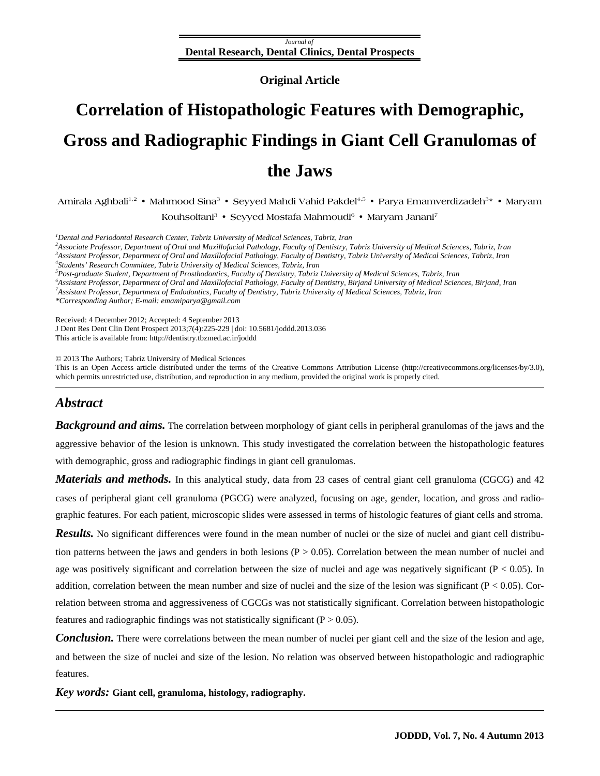#### *Journal of* **Dental Research, Dental Clinics, Dental Prospects**

**Original Article** 

# <span id="page-0-0"></span>**Correlation of Histopathologic Features with Demographic, Gross and Radiographic Findings in Giant Cell Granulomas of the Jaws**

**Amirala Aghbali**1,2 • **Mahmood Sina3** • **Seyyed Mahdi Vahid Pakdel**4,5 • **Parya Emamverdizadeh**<sup>3</sup>**\*** • **Maryam Kouhsoltani**<sup>3</sup> • **Seyyed Mostafa Mahmoudi6** • **Maryam Janani7**

*<sup>1</sup>* Dental and Periodontal Research Center, Tabriz University of Medical Sciences, Tabriz, Iran <sup>2</sup>A seconds a Professor, Department of Oral and Marillofacial Bathology, Franch of Dartisty, T

*Associate Professor, Department of Oral and Maxillofacial Pathology, Faculty of Dentistry, Tabriz University of Medical Sciences, Tabriz, Iran 3 Assistant Professor, Department of Oral and Maxillofacial Pathology, Faculty of Dentistry, Tabriz University of Medical Sciences, Tabriz, Iran 4 Students' Research Committee, Tabriz University of Medical Sciences, Tabriz, Iran 5 Post-graduate Student, Department of Prosthodontics, Faculty of Dentistry, Tabriz University of Medical Sciences, Tabriz, Iran 6 Assistant Professor, Department of Oral and Maxillofacial Pathology, Faculty of Dentistry, Birjand University of Medical Sciences, Birjand, Iran 7 Assistant Professor, Department of Endodontics, Faculty of Dentistry, Tabriz University of Medical Sciences, Tabriz, Iran \*Corresponding Author; E-mail: emamiparya@gmail.com* 

Received: 4 December 2012; Accepted: 4 September 2013

J Dent Res Dent Clin Dent Prospect 2013;7(4):225-229 | [doi: 10.5681/joddd.2013.036](http://dx.doi.org/10.5681/joddd.2013.021) This article is available from: http://dentistry.tbzmed.ac.ir/joddd

© 2013 The Authors; Tabriz University of Medical Sciences

This is an Open Access article distributed under the terms of the Creative Commons Attribution License (http://creativecommons.org/licenses/by/3.0), which permits unrestricted use, distribution, and reproduction in any medium, provided the original work is properly cited.

# *Abstract*

*Background and aims.* The correlation between morphology of giant cells in peripheral granulomas of the jaws and the aggressive behavior of the lesion is unknown. This study investigated the correlation between the histopathologic features with demographic, gross and radiographic findings in giant cell granulomas.

*Materials and methods.* In this analytical study, data from 23 cases of central giant cell granuloma (CGCG) and 42 cases of peripheral giant cell granuloma (PGCG) were analyzed, focusing on age, gender, location, and gross and radiographic features. For each patient, microscopic slides were assessed in terms of histologic features of giant cells and stroma.

*Results.* No significant differences were found in the mean number of nuclei or the size of nuclei and giant cell distribution patterns between the jaws and genders in both lesions  $(P > 0.05)$ . Correlation between the mean number of nuclei and age was positively significant and correlation between the size of nuclei and age was negatively significant ( $P < 0.05$ ). In addition, correlation between the mean number and size of nuclei and the size of the lesion was significant ( $P < 0.05$ ). Correlation between stroma and aggressiveness of CGCGs was not statistically significant. Correlation between histopathologic features and radiographic findings was not statistically significant ( $P > 0.05$ ).

**Conclusion.** There were correlations between the mean number of nuclei per giant cell and the size of the lesion and age, and between the size of nuclei and size of the lesion. No relation was observed between histopathologic and radiographic features.

*Key words:* **Giant cell, granuloma, histology, radiography.**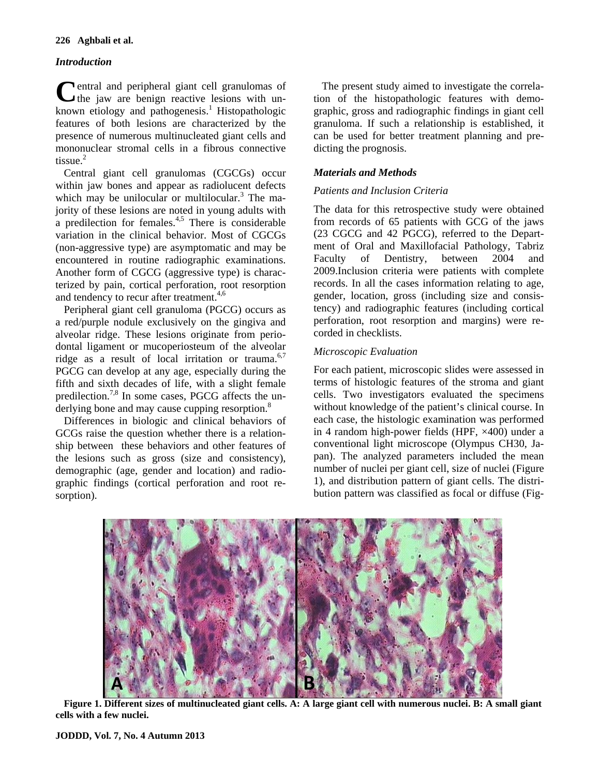#### **226 Aghbali et al.**

## *Introduction*

**Pentral and peripheral giant cell granulomas of** Central and peripheral giant cell granulomas of the jaw are benign reactive lesions with unknown etiology and pathogenesis.<sup>1</sup> Histopathologic features of both lesions are characterized by the presence of numerous multinucleated giant cells and mononuclear stromal cells in a fibrous connective tissue. $<sup>2</sup>$ </sup>

Central giant cell granulomas (CGCGs) occur within jaw bones and appear as radiolucent defects which may be unilocular or multilocular.<sup>3</sup> The majority of these lesions are noted in young adults with a predilection for females. $4.5$  There is considerable variation in the clinical behavior. Most of CGCGs (non-aggressive type) are asymptomatic and may be encountered in routine radiographic examinations. Another form of CGCG (aggressive type) is characterized by pain, cortical perforation, root resorption and tendency to recur after treatment.<sup>[4](#page-0-0),[6](#page-0-0)</sup>

Peripheral giant cell granuloma (PGCG) occurs as a red/purple nodule exclusively on the gingiva and alveolar ridge. These lesions originate from periodontal ligament or mucoperiosteum of the alveolar ridge as a result of local irritation or trauma. $6,7$ PGCG can develop at any age, especially during the fifth and sixth decades of life, with a slight female predilection.<sup>7,8</sup> In some cases, PGCG affects the underlying bone and may cause cupping resorption.<sup>8</sup>

Differences in biologic and clinical behaviors of GCGs raise the question whether there is a relationship between these behaviors and other features of the lesions such as gross (size and consistency), demographic (age, gender and location) and radiographic findings (cortical perforation and root resorption).

The present study aimed to investigate the correlation of the histopathologic features with demographic, gross and radiographic findings in giant cell granuloma. If such a relationship is established, it can be used for better treatment planning and predicting the prognosis.

## *Materials and Methods*

### *Patients and Inclusion Criteria*

The data for this retrospective study were obtained from records of 65 patients with GCG of the jaws (23 CGCG and 42 PGCG), referred to the Department of Oral and Maxillofacial Pathology, Tabriz Faculty of Dentistry, between 2004 and 2009.Inclusion criteria were patients with complete records. In all the cases information relating to age, gender, location, gross (including size and consistency) and radiographic features (including cortical perforation, root resorption and margins) were recorded in checklists.

## *Microscopic Evaluation*

For each patient, microscopic slides were assessed in terms of histologic features of the stroma and giant cells. Two investigators evaluated the specimens without knowledge of the patient's clinical course. In each case, the histologic examination was performed in 4 random high-power fields (HPF, ×400) under a conventional light microscope (Olympus CH30, Japan). The analyzed parameters included the mean number of nuclei per giant cell, size of nuclei (Figure 1), and distribution pattern of giant cells. The distribution pattern was classified as focal or diffuse (Fig-



**Figure 1. Different sizes of multinucleated giant cells. A: A large giant cell with numerous nuclei. B: A small giant cells with a few nuclei.**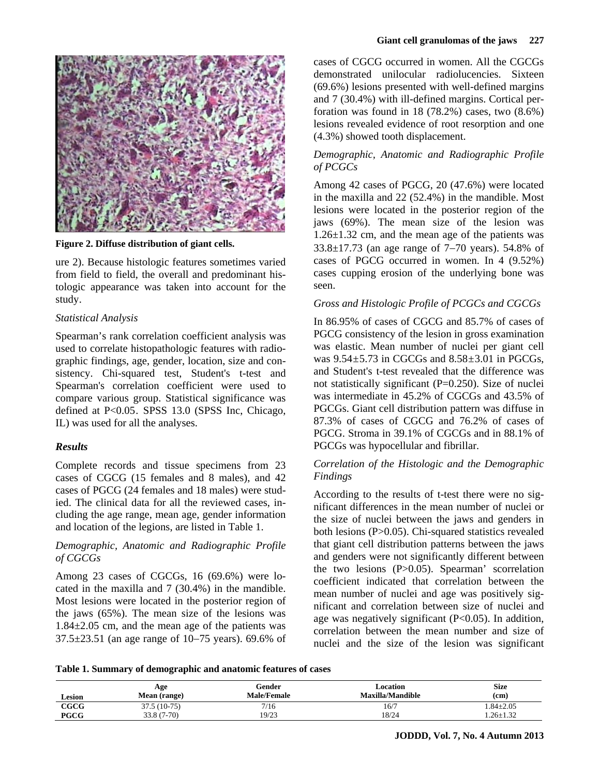

**Figure 2. Diffuse distribution of giant cells.**

ure 2). Because histologic features sometimes varied from field to field, the overall and predominant histologic appearance was taken into account for the study.

#### *Statistical Analysis*

Spearman's rank correlation coefficient analysis was used to correlate histopathologic features with radiographic findings, age, gender, location, size and consistency. Chi-squared test, Student's t-test and Spearman's correlation coefficient were used to compare various group. Statistical significance was defined at P<0.05. SPSS 13.0 (SPSS Inc, Chicago, IL) was used for all the analyses.

#### *Results*

Complete records and tissue specimens from 23 cases of CGCG (15 females and 8 males), and 42 cases of PGCG (24 females and 18 males) were studied. The clinical data for all the reviewed cases, including the age range, mean age, gender information and location of the legions, are listed in Table 1.

#### *Demographic, Anatomic and Radiographic Profile of CGCGs*

Among 23 cases of CGCGs, 16 (69.6%) were located in the maxilla and 7 (30.4%) in the mandible. Most lesions were located in the posterior region of the jaws (65%). The mean size of the lesions was 1.84±2.05 cm, and the mean age of the patients was 37.5±23.51 (an age range of 10−75 years). 69.6% of

cases of CGCG occurred in women. All the CGCGs demonstrated unilocular radiolucencies. Sixteen (69.6%) lesions presented with well-defined margins and 7 (30.4%) with ill-defined margins. Cortical perforation was found in  $18$  (78.2%) cases, two  $(8.6\%)$ lesions revealed evidence of root resorption and one (4.3%) showed tooth displacement.

### *Demographic, Anatomic and Radiographic Profile of PCGCs*

Among 42 cases of PGCG, 20 (47.6%) were located in the maxilla and 22 (52.4%) in the mandible. Most lesions were located in the posterior region of the jaws (69%). The mean size of the lesion was 1.26±1.32 cm, and the mean age of the patients was 33.8±17.73 (an age range of 7−70 years). 54.8% of cases of PGCG occurred in women. In 4 (9.52%) cases cupping erosion of the underlying bone was seen.

#### *Gross and Histologic Profile of PCGCs and CGCGs*

In 86.95% of cases of CGCG and 85.7% of cases of PGCG consistency of the lesion in gross examination was elastic. Mean number of nuclei per giant cell was  $9.54 \pm 5.73$  in CGCGs and  $8.58 \pm 3.01$  in PGCGs, and Student's t-test revealed that the difference was not statistically significant  $(P=0.250)$ . Size of nuclei was intermediate in 45.2% of CGCGs and 43.5% of PGCGs. Giant cell distribution pattern was diffuse in 87.3% of cases of CGCG and 76.2% of cases of PGCG. Stroma in 39.1% of CGCGs and in 88.1% of PGCGs was hypocellular and fibrillar.

## *Correlation of the Histologic and the Demographic Findings*

According to the results of t-test there were no significant differences in the mean number of nuclei or the size of nuclei between the jaws and genders in both lesions (P>0.05). Chi-squared statistics revealed that giant cell distribution patterns between the jaws and genders were not significantly different between the two lesions (P>0.05). Spearman' scorrelation coefficient indicated that correlation between the mean number of nuclei and age was positively significant and correlation between size of nuclei and age was negatively significant (P<0.05). In addition, correlation between the mean number and size of nuclei and the size of the lesion was significant

**Table 1. Summary of demographic and anatomic features of cases** 

| <b>Lesion</b> | Age<br>Mean (range) | Gender<br><b>Male/Female</b> | Location<br><b>Maxilla/Mandible</b> | <b>Size</b><br>(cm) |
|---------------|---------------------|------------------------------|-------------------------------------|---------------------|
| CCCG          | 37.5 (10-75)        | 7/16                         | 16/7                                | $.84 \pm 2.05$      |
| <b>PGCG</b>   | $33.8(7-70)$        | 19/23                        | 18/24                               | $.26 \pm 1.32$      |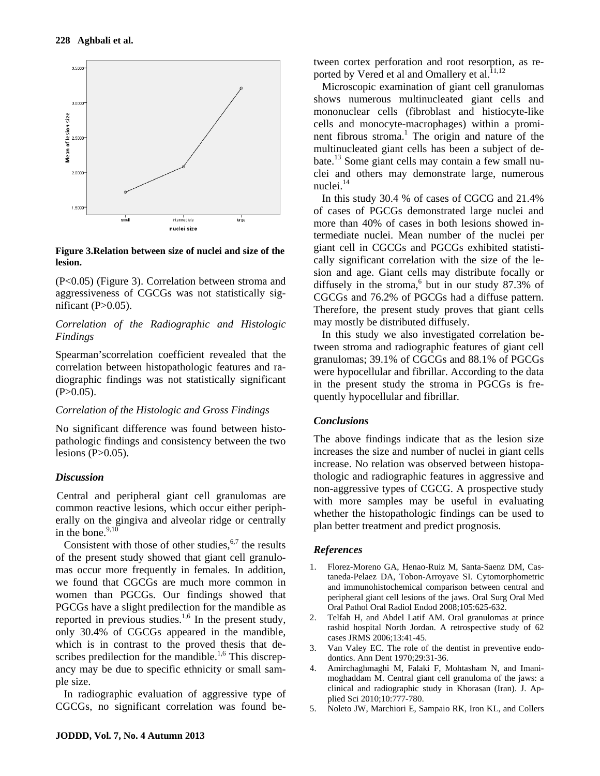

**Figure 3.Relation between size of nuclei and size of the lesion.**

(P<0.05) (Figure 3). Correlation between stroma and aggressiveness of CGCGs was not statistically significant  $(P>0.05)$ .

### *Correlation of the Radiographic and Histologic Findings*

Spearman'scorrelation coefficient revealed that the correlation between histopathologic features and radiographic findings was not statistically significant  $(P>0.05)$ .

## *Correlation of the Histologic and Gross Findings*

No significant difference was found between histopathologic findings and consistency between the two lesions  $(P>0.05)$ .

## *Discussion*

Central and peripheral giant cell granulomas are common reactive lesions, which occur either peripherally on the gingiva and alveolar ridge or centrally in the bone. $9,10$ 

Consistent with those of other studies,  $67$  the results of the present study showed that giant cell granulomas occur more frequently in females. In addition, we found that CGCGs are much more common in women than PGCGs. Our findings showed that PGCGs have a slight predilection for the mandible as reported in previous studies. $1.6$  $1.6$  $1.6$  In the present study, only 30.4% of CGCGs appeared in the mandible, which is in contrast to the proved thesis that de-scribes predilection for the mandible.<sup>[1,6](#page-0-0)</sup> This discrepancy may be due to specific ethnicity or small sample size.

In radiographic evaluation of aggressive type of CGCGs, no significant correlation was found between cortex perforation and root resorption, as reported by Vered et al and Omallery et al. $^{11,12}$  $^{11,12}$  $^{11,12}$ 

Microscopic examination of giant cell granulomas shows numerous multinucleated giant cells and mononuclear cells (fibroblast and histiocyte-like cells and monocyte-macrophages) within a promi-nent fibrous stroma.<sup>[1](#page-0-0)</sup> The origin and nature of the multinucleated giant cells has been a subject of debate.[13](#page-0-0) Some giant cells may contain a few small nuclei and others may demonstrate large, numerous nuclei.<sup>[14](#page-0-0)</sup>

In this study 30.4 % of cases of CGCG and 21.4% of cases of PGCGs demonstrated large nuclei and more than 40% of cases in both lesions showed intermediate nuclei. Mean number of the nuclei per giant cell in CGCGs and PGCGs exhibited statistically significant correlation with the size of the lesion and age. Giant cells may distribute focally or diffusely in the stroma,<sup>[6](#page-0-0)</sup> but in our study 87.3% of CGCGs and 76.2% of PGCGs had a diffuse pattern. Therefore, the present study proves that giant cells may mostly be distributed diffusely.

In this study we also investigated correlation between stroma and radiographic features of giant cell granulomas; 39.1% of CGCGs and 88.1% of PGCGs were hypocellular and fibrillar. According to the data in the present study the stroma in PGCGs is frequently hypocellular and fibrillar.

## *Conclusions*

The above findings indicate that as the lesion size increases the size and number of nuclei in giant cells increase. No relation was observed between histopathologic and radiographic features in aggressive and non-aggressive types of CGCG. A prospective study with more samples may be useful in evaluating whether the histopathologic findings can be used to plan better treatment and predict prognosis.

## *References*

- 1. Florez-Moreno GA, Henao-Ruiz M, Santa-Saenz DM, Castaneda-Pelaez DA, Tobon-Arroyave SI. Cytomorphometric and immunohistochemical comparison between central and peripheral giant cell lesions of the jaws. Oral Surg Oral Med Oral Pathol Oral Radiol Endod 2008;105:625-632.
- 2. Telfah H, and Abdel Latif AM. Oral granulomas at prince rashid hospital North Jordan. A retrospective study of 62 cases JRMS 2006;13:41-45.
- 3. Van Valey EC. The role of the dentist in preventive endodontics. Ann Dent 1970;29:31-36.
- 4. Amirchaghmaghi M, Falaki F, Mohtasham N, and Imanimoghaddam M. Central giant cell granuloma of the jaws: a clinical and radiographic study in Khorasan (Iran). J. Applied Sci 2010;10:777-780.
- 5. Noleto JW, Marchiori E, Sampaio RK, Iron KL, and Collers